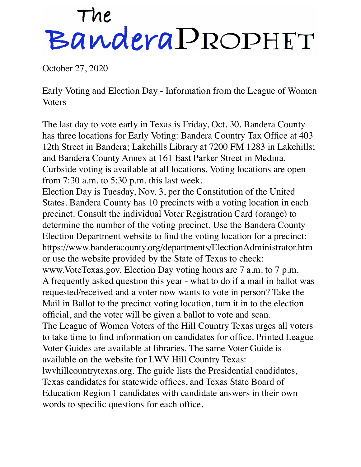## The BanderaPROPHET

October 27, 2020

Early Voting and Election Day - Information from the League of Women Voters

The last day to vote early in Texas is Friday, Oct. 30. Bandera County has three locations for Early Voting: Bandera Country Tax Office at 403 12th Street in Bandera; Lakehills Library at 7200 FM 1283 in Lakehills; and Bandera County Annex at 161 East Parker Street in Medina. Curbside voting is available at all locations. Voting locations are open from 7:30 a.m. to 5:30 p.m. this last week.

Election Day is Tuesday, Nov. 3, per the Constitution of the United States. Bandera County has 10 precincts with a voting location in each precinct. Consult the individual Voter Registration Card (orange) to determine the number of the voting precinct. Use the Bandera County Election Department website to find the voting location for a precinct: https://www.banderacounty.org/departments/ElectionAdministrator.htm or use the website provided by the State of Texas to check: www.VoteTexas.gov. Election Day voting hours are 7 a.m. to 7 p.m. A frequently asked question this year - what to do if a mail in ballot was requested/received and a voter now wants to vote in person? Take the Mail in Ballot to the precinct voting location, turn it in to the election official, and the voter will be given a ballot to vote and scan. The League of Women Voters of the Hill Country Texas urges all voters to take time to find information on candidates for office. Printed League Voter Guides are available at libraries. The same Voter Guide is available on the website for LWV Hill Country Texas: lwvhillcountrytexas.org. The guide lists the Presidential candidates, Texas candidates for statewide offices, and Texas State Board of Education Region 1 candidates with candidate answers in their own words to specific questions for each office.